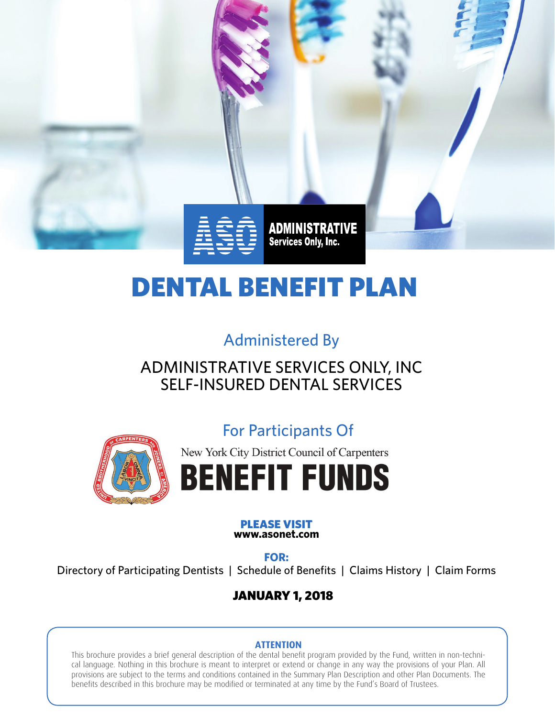

# DENTAL BENEFIT PLAN

# Administered By

## Administrative Services Only, Inc Self-Insured Dental Services



# For Participants Of

New York City District Council of Carpenters



#### PLEASE VISIT **www.asonet.com**

**For:** Directory of Participating Dentists | Schedule of Benefits | Claims History | Claim Forms

### JANUARY 1, 2018

#### **ATTENTION**

This brochure provides a brief general description of the dental benefit program provided by the Fund, written in non-technical language. Nothing in this brochure is meant to interpret or extend or change in any way the provisions of your Plan. All provisions are subject to the terms and conditions contained in the Summary Plan Description and other Plan Documents. The benefits described in this brochure may be modified or terminated at any time by the Fund's Board of Trustees.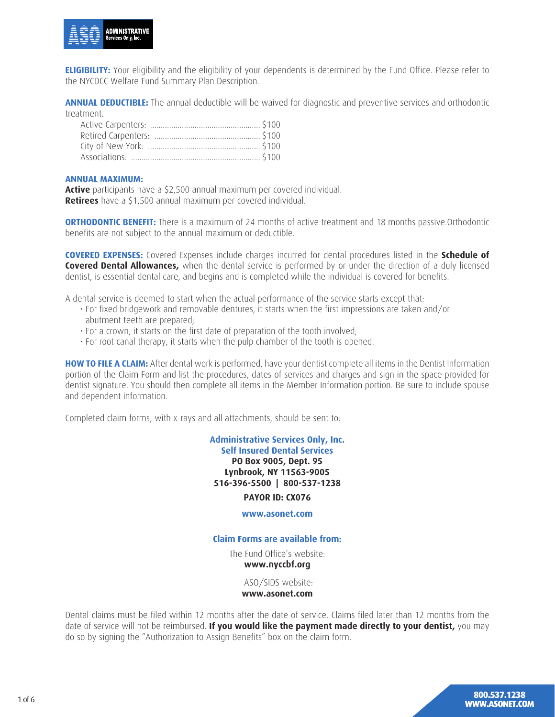

**ELIGIBILITY:** Your eligibility and the eligibility of your dependents is determined by the Fund Office. Please refer to the NYCDCC Welfare Fund Summary Plan Description.

**ANNUAL DEDUCTIBLE:** The annual deductible will be waived for diagnostic and preventive services and orthodontic treatment.

#### **ANNUAL MAXIMUM:**

**Active** participants have a \$2,500 annual maximum per covered individual. **Retirees** have a \$1,500 annual maximum per covered individual.

**ORTHODONTIC BENEFIT:** There is a maximum of 24 months of active treatment and 18 months passive. Orthodontic benefits are not subject to the annual maximum or deductible.

**COVERED EXPENSES:** Covered Expenses include charges incurred for dental procedures listed in the **Schedule of Covered Dental Allowances,** when the dental service is performed by or under the direction of a duly licensed dentist, is essential dental care, and begins and is completed while the individual is covered for benefits.

A dental service is deemed to start when the actual performance of the service starts except that:

- For fixed bridgework and removable dentures, it starts when the first impressions are taken and/or abutment teeth are prepared;
- For a crown, it starts on the first date of preparation of the tooth involved;
- For root canal therapy, it starts when the pulp chamber of the tooth is opened.

**HOW TO FILE A CLAIM:** After dental work is performed, have your dentist complete all items in the Dentist Information portion of the Claim Form and list the procedures, dates of services and charges and sign in the space provided for dentist signature. You should then complete all items in the Member Information portion. Be sure to include spouse and dependent information.

Completed claim forms, with x-rays and all attachments, should be sent to:

**Administrative Services Only, Inc. Self Insured Dental Services PO Box 9005, Dept. 95 Lynbrook, NY 11563-9005 516-396-5500 | 800-537-1238** 

#### **payor ID: CX076**

#### **www.asonet.com**

#### **Claim Forms are available from:**

The Fund Office's website: **www.nyccbf.org**

> ASO/SIDS website: **www.asonet.com**

Dental claims must be filed within 12 months after the date of service. Claims filed later than 12 months from the date of service will not be reimbursed. **If you would like the payment made directly to your dentist,** you may do so by signing the "Authorization to Assign Benefits" box on the claim form.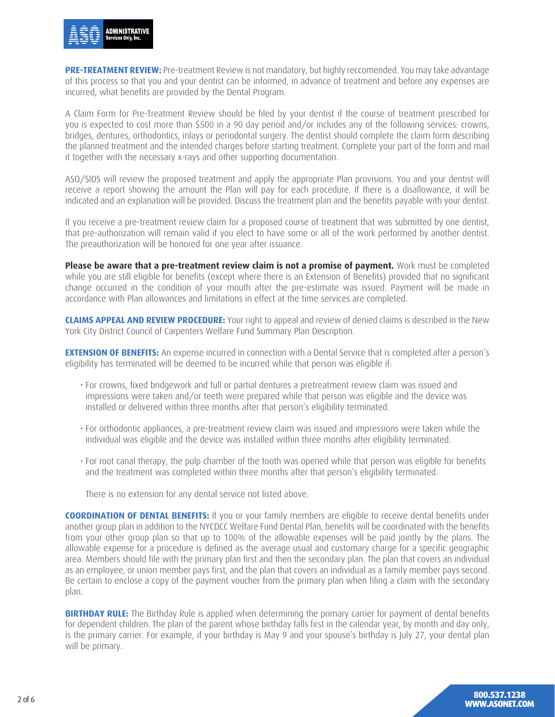

**PRE-TREATMENT REVIEW:** Pre-treatment Review is not mandatory, but highly reccomended. You may take advantage of this process so that you and your dentist can be informed, in advance of treatment and before any expenses are incurred, what benefits are provided by the Dental Program.

A Claim Form for Pre-Treatment Review should be filed by your dentist if the course of treatment prescribed for you is expected to cost more than \$500 in a 90 day period and/or includes any of the following services: crowns, bridges, dentures, orthodontics, inlays or periodontal surgery. The dentist should complete the claim form describing the planned treatment and the intended charges before starting treatment. Complete your part of the form and mail it together with the necessary x-rays and other supporting documentation.

ASO/SIDS will review the proposed treatment and apply the appropriate Plan provisions. You and your dentist will receive a report showing the amount the Plan will pay for each procedure. If there is a disallowance, it will be indicated and an explanation will be provided. Discuss the treatment plan and the benefits payable with your dentist.

If you receive a pre-treatment review claim for a proposed course of treatment that was submitted by one dentist, that pre-authorization will remain valid if you elect to have some or all of the work performed by another dentist. The preauthorization will be honored for one year after issuance.

**Please be aware that a pre-treatment review claim is not a promise of payment.** Work must be completed while you are still eligible for benefits (except where there is an Extension of Benefits) provided that no significant change occurred in the condition of your mouth after the pre-estimate was issued. Payment will be made in accordance with Plan allowances and limitations in effect at the time services are completed.

**claims appeal and review procedure:** Your right to appeal and review of denied claims is described in the New York City District Council of Carpenters Welfare Fund Summary Plan Description.

**EXTENSION OF BENEFITS:** An expense incurred in connection with a Dental Service that is completed after a person's eligibility has terminated will be deemed to be incurred while that person was eligible if:

- For crowns, fixed bridgework and full or partial dentures a pretreatment review claim was issued and impressions were taken and/or teeth were prepared while that person was eligible and the device was installed or delivered within three months after that person's eligibility terminated.
- For orthodontic appliances, a pre-treatment review claim was issued and impressions were taken while the individual was eligible and the device was installed within three months after eligibility terminated.
- For root canal therapy, the pulp chamber of the tooth was opened while that person was eligible for benefits and the treatment was completed within three months after that person's eligibility terminated.

There is no extension for any dental service not listed above.

**COORDINATION OF DENTAL BENEFITS:** If you or your family members are eligible to receive dental benefits under another group plan in addition to the NYCDCC Welfare Fund Dental Plan, benefits will be coordinated with the benefits from your other group plan so that up to 100% of the allowable expenses will be paid jointly by the plans. The allowable expense for a procedure is defined as the average usual and customary charge for a specific geographic area. Members should file with the primary plan first and then the secondary plan. The plan that covers an individual as an employee, or union member pays first, and the plan that covers an individual as a family member pays second. Be certain to enclose a copy of the payment voucher from the primary plan when filing a claim with the secondary plan.

**BIRTHDAY RULE:** The Birthday Rule is applied when determining the primary carrier for payment of dental benefits for dependent children. The plan of the parent whose birthday falls first in the calendar year, by month and day only, is the primary carrier. For example, if your birthday is May 9 and your spouse's birthday is July 27, your dental plan will be primary.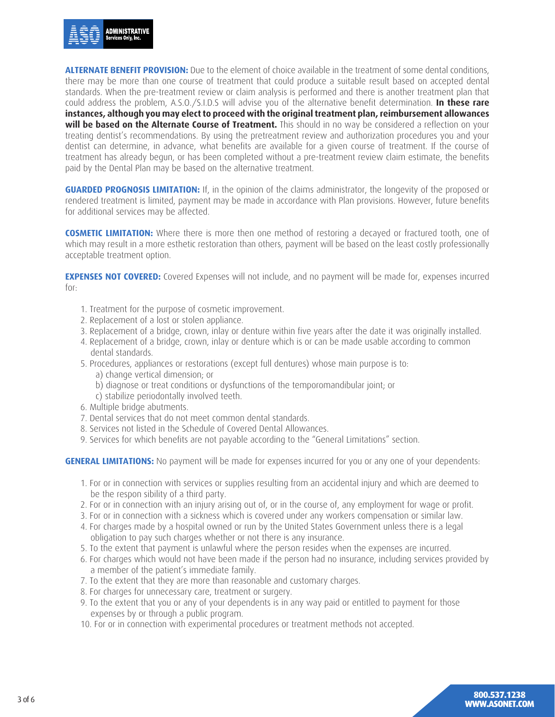

**ALTERNATE BENEFIT PROVISION:** Due to the element of choice available in the treatment of some dental conditions, there may be more than one course of treatment that could produce a suitable result based on accepted dental standards. When the pre-treatment review or claim analysis is performed and there is another treatment plan that could address the problem, A.S.O./S.I.D.S will advise you of the alternative benefit determination. **In these rare instances, although you may elect to proceed with the original treatment plan, reimbursement allowances**  will be based on the Alternate Course of Treatment. This should in no way be considered a reflection on your treating dentist's recommendations. By using the pretreatment review and authorization procedures you and your dentist can determine, in advance, what benefits are available for a given course of treatment. If the course of treatment has already begun, or has been completed without a pre-treatment review claim estimate, the benefits paid by the Dental Plan may be based on the alternative treatment.

**GUARDED PROGNOSIS LIMITATION:** If, in the opinion of the claims administrator, the longevity of the proposed or rendered treatment is limited, payment may be made in accordance with Plan provisions. However, future benefits for additional services may be affected.

**COSMETIC LIMITATION:** Where there is more then one method of restoring a decayed or fractured tooth, one of which may result in a more esthetic restoration than others, payment will be based on the least costly professionally acceptable treatment option.

**EXPENSES NOT COVERED:** Covered Expenses will not include, and no payment will be made for, expenses incurred for:

- 1. Treatment for the purpose of cosmetic improvement.
- 2. Replacement of a lost or stolen appliance.
- 3. Replacement of a bridge, crown, inlay or denture within five years after the date it was originally installed.
- 4. Replacement of a bridge, crown, inlay or denture which is or can be made usable according to common dental standards.
- 5. Procedures, appliances or restorations (except full dentures) whose main purpose is to:
	- a) change vertical dimension; or
	- b) diagnose or treat conditions or dysfunctions of the temporomandibular joint; or
	- c) stabilize periodontally involved teeth.
- 6. Multiple bridge abutments.
- 7. Dental services that do not meet common dental standards.
- 8. Services not listed in the Schedule of Covered Dental Allowances.
- 9. Services for which benefits are not payable according to the "General Limitations" section.

**GENERAL LIMITATIONS:** No payment will be made for expenses incurred for you or any one of your dependents:

- 1. For or in connection with services or supplies resulting from an accidental injury and which are deemed to be the respon sibility of a third party.
- 2. For or in connection with an injury arising out of, or in the course of, any employment for wage or profit.
- 3. For or in connection with a sickness which is covered under any workers compensation or similar law.
- 4. For charges made by a hospital owned or run by the United States Government unless there is a legal obligation to pay such charges whether or not there is any insurance.
- 5. To the extent that payment is unlawful where the person resides when the expenses are incurred.
- 6. For charges which would not have been made if the person had no insurance, including services provided by a member of the patient's immediate family.
- 7. To the extent that they are more than reasonable and customary charges.
- 8. For charges for unnecessary care, treatment or surgery.
- 9. To the extent that you or any of your dependents is in any way paid or entitled to payment for those expenses by or through a public program.
- 10. For or in connection with experimental procedures or treatment methods not accepted.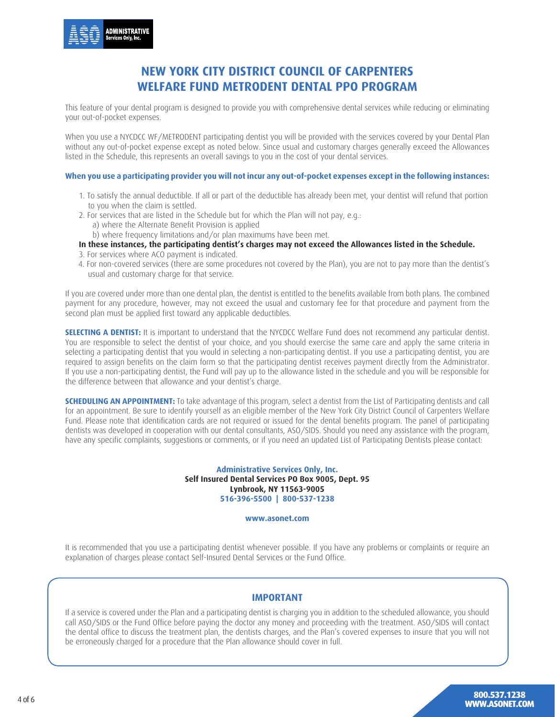### **New York City District Council of Carpenters Welfare Fund METRODent Dental PPO Program**

This feature of your dental program is designed to provide you with comprehensive dental services while reducing or eliminating your out-of-pocket expenses.

When you use a NYCDCC WF/METRODENT participating dentist you will be provided with the services covered by your Dental Plan without any out-of-pocket expense except as noted below. Since usual and customary charges generally exceed the Allowances listed in the Schedule, this represents an overall savings to you in the cost of your dental services.

#### **When you use a participating provider you will not incur any out-of-pocket expenses except in the following instances:**

- 1. To satisfy the annual deductible. If all or part of the deductible has already been met, your dentist will refund that portion to you when the claim is settled.
- 2. For services that are listed in the Schedule but for which the Plan will not pay, e.g.:
	- a) where the Alternate Benefit Provision is applied
	- b) where frequency limitations and/or plan maximums have been met.

**In these instances, the participating dentist's charges may not exceed the Allowances listed in the Schedule.** 

- 3. For services where ACO payment is indicated.
- 4. For non-covered services (there are some procedures not covered by the Plan), you are not to pay more than the dentist's usual and customary charge for that service.

If you are covered under more than one dental plan, the dentist is entitled to the benefits available from both plans. The combined payment for any procedure, however, may not exceed the usual and customary fee for that procedure and payment from the second plan must be applied first toward any applicable deductibles.

**SELECTING A DENTIST:** It is important to understand that the NYCDCC Welfare Fund does not recommend any particular dentist. You are responsible to select the dentist of your choice, and you should exercise the same care and apply the same criteria in selecting a participating dentist that you would in selecting a non-participating dentist. If you use a participating dentist, you are required to assign benefits on the claim form so that the participating dentist receives payment directly from the Administrator. If you use a non-participating dentist, the Fund will pay up to the allowance listed in the schedule and you will be responsible for the difference between that allowance and your dentist's charge.

**SCHEDULING AN APPOINTMENT:** To take advantage of this program, select a dentist from the List of Participating dentists and call for an appointment. Be sure to identify yourself as an eligible member of the New York City District Council of Carpenters Welfare Fund. Please note that identification cards are not required or issued for the dental benefits program. The panel of participating dentists was developed in cooperation with our dental consultants, ASO/SIDS. Should you need any assistance with the program, have any specific complaints, suggestions or comments, or if you need an updated List of Participating Dentists please contact:

#### **Administrative Services Only, Inc. Self Insured Dental Services PO Box 9005, Dept. 95 Lynbrook, NY 11563-9005 516-396-5500 | 800-537-1238**

#### **www.asonet.com**

It is recommended that you use a participating dentist whenever possible. If you have any problems or complaints or require an explanation of charges please contact Self-Insured Dental Services or the Fund Office.

#### **IMPORTANT**

If a service is covered under the Plan and a participating dentist is charging you in addition to the scheduled allowance, you should call ASO/SIDS or the Fund Office before paying the doctor any money and proceeding with the treatment. ASO/SIDS will contact the dental office to discuss the treatment plan, the dentists charges, and the Plan's covered expenses to insure that you will not be erroneously charged for a procedure that the Plan allowance should cover in full.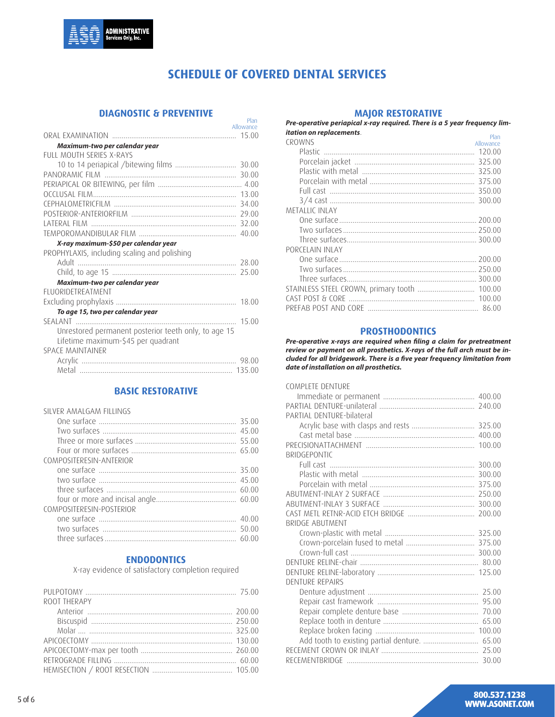

### **Schedule of Covered Dental services**

#### **DIAGNOSTIC & PREVENTIVE**

|                                                      | Plan      |
|------------------------------------------------------|-----------|
|                                                      | Allowance |
|                                                      |           |
| Maximum-two per calendar year                        |           |
| FULL MOUTH SERIES X-RAYS                             |           |
|                                                      | 30.00     |
|                                                      | 30.00     |
|                                                      |           |
|                                                      | 13.00     |
|                                                      | 34.00     |
|                                                      | 29.00     |
|                                                      | 32.00     |
|                                                      | 40.00     |
| X-ray maximum-\$50 per calendar year                 |           |
| PROPHYLAXIS, including scaling and polishing         |           |
|                                                      | 28.00     |
|                                                      |           |
| Maximum-two per calendar year                        |           |
| FI UORIDETREATMENT                                   |           |
|                                                      | 18.00     |
| To age 15, two per calendar year                     |           |
|                                                      | 15.00     |
| Unrestored permanent posterior teeth only, to age 15 |           |
| Lifetime maximum-\$45 per quadrant                   |           |
| <b>SPACE MAINTAINER</b>                              |           |
|                                                      |           |
|                                                      |           |
|                                                      |           |

#### **BASIC RESTORATIVE**

| SILVER AMALGAM FILLINGS                                                                                                                                                                                                       |       |
|-------------------------------------------------------------------------------------------------------------------------------------------------------------------------------------------------------------------------------|-------|
|                                                                                                                                                                                                                               | 35.00 |
|                                                                                                                                                                                                                               | 45.00 |
|                                                                                                                                                                                                                               | 55.00 |
|                                                                                                                                                                                                                               |       |
| COMPOSITERESIN-ANTERIOR                                                                                                                                                                                                       |       |
|                                                                                                                                                                                                                               | 35.00 |
|                                                                                                                                                                                                                               | 45.00 |
|                                                                                                                                                                                                                               | 60.00 |
|                                                                                                                                                                                                                               |       |
| COMPOSITERESIN-POSTERIOR                                                                                                                                                                                                      |       |
| one surface and a state of the state of the state of the state of the state of the state of the state of the state of the state of the state of the state of the state of the state of the state of the state of the state of | 40.00 |
|                                                                                                                                                                                                                               | 50.00 |
|                                                                                                                                                                                                                               | 60.00 |

#### **ENDODONTICS**

X-ray evidence of satisfactory completion required

| ROOT THERAPY |
|--------------|
|              |
|              |
|              |
|              |
|              |
|              |
|              |

#### **MAJOR RESTORATIVE**

*Pre-operative periapical x-ray required. There is a 5 year frequency limitation on replacements*.

|                                              | Plan      |
|----------------------------------------------|-----------|
| <b>CROWNS</b>                                | Allowance |
|                                              |           |
|                                              |           |
|                                              |           |
|                                              |           |
|                                              |           |
|                                              |           |
| <b>METALLIC INLAY</b>                        |           |
|                                              |           |
|                                              |           |
|                                              |           |
| PORCELAIN INLAY                              |           |
|                                              |           |
|                                              |           |
|                                              |           |
| STAINLESS STEEL CROWN, primary tooth  100.00 |           |
|                                              |           |
|                                              |           |

#### **PROSTHODONTICS**

*Pre-operative x-rays are required when filing a claim for pretreatment review or payment on all prosthetics. X-rays of the full arch must be included for all bridgework. There is a five year frequency limitation from date of installation on all prosthetics.*

#### COMPLETE DENTURE

| PARTIAL DENTURE-bilateral                     |  |
|-----------------------------------------------|--|
|                                               |  |
|                                               |  |
|                                               |  |
| BRIDGEPONTIC                                  |  |
|                                               |  |
|                                               |  |
|                                               |  |
|                                               |  |
|                                               |  |
|                                               |  |
| <b>BRIDGE ABUTMENT</b>                        |  |
|                                               |  |
|                                               |  |
|                                               |  |
|                                               |  |
|                                               |  |
| <b>DENTURE REPAIRS</b>                        |  |
|                                               |  |
|                                               |  |
|                                               |  |
|                                               |  |
|                                               |  |
| Add tooth to existing partial denture.  65.00 |  |
|                                               |  |
|                                               |  |